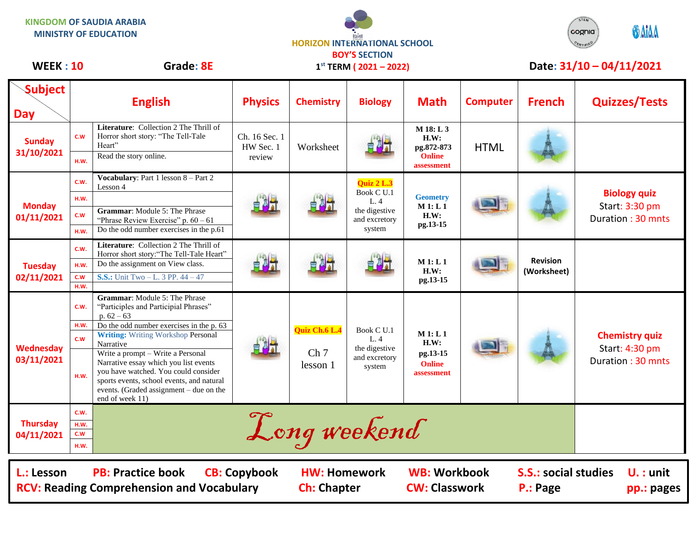**KINGDOM OF SAUDIA ARABIA MINISTRY OF EDUCATION**





## **Subject Day English Physics Chemistry Biology Math Computer French Quizzes/Tests Sunday 31/10/2021 C.W Literature**: Collection 2 The Thrill of Horror short story: "The Tell-Tale Heart" Ch. 16 Sec. 1 HW Sec. 1 review Worksheet **M 18: L 3 H.W: pg.872-873 Online assessment HTML H.W.** Read the story online. **Monday 01/11/2021 C.W.**  $\left| \begin{array}{c} \text{Vocabulary: Part 1 lesson } 8 - \text{Part 2} \\ \text{Lesson 4} \end{array} \right|$ Lesson 4 **Quiz 2 L.3**<br>Lesson 4 **Quiz 2 L.3** Book C U.1 L. 4 the digestive and excretory system **Geometry M 1: L 1 H.W: pg.13-15 Biology quiz** Start: 3:30 pm Duration : 30 mnts **H.W. C.W Grammar**: Module 5: The Phrase "Phrase Review Exercise" p. 60 – 61 **H.W.** Do the odd number exercises in the p.61 **Tuesday 02/11/2021 C.W. Literature**: Collection 2 The Thrill of Horror short story:"The Tell-Tale Heart" **M 1: L 1 H.W: pg.13-15 Revision (Worksheet) H.W.** Do the assignment on View class. **C.W S.S.:** Unit Two – L. 3 PP. 44 – 47 **H.W. Wednesday 03/11/2021 C.W. Grammar**: Module 5: The Phrase "Participles and Participial Phrases" p.  $62 - 63$ **Quiz Ch.6 L.4** Ch<sub>7</sub> lesson 1 Book C U.1  $L.4$ the digestive and excretory system **M 1: L 1 H.W: pg.13-15 Online assessment Chemistry quiz** Start: 4:30 pm Duration : 30 mnts **H.W.** Do the odd number exercises in the p. 63 **C.W Writing:** Writing Workshop Personal Narrative **H.W.** Write a prompt – Write a Personal Narrative essay which you list events you have watched. You could consider sports events, school events, and natural events. (Graded assignment – due on the end of week 11) **Thursday 04/11/2021** E.W. **Long weekend C.W H.W. 1 st TERM ( 2021 – 2022)** WEEK : 10 Grade: 8E 1<sup>st</sup> TERM (2021 – 2022) Date: 31/10 – 04/11/2021

**L.: Lesson PB: Practice book CB: Copybook HW: Homework WB: Workbook S.S.: social studies U. : unit RCV: Reading Comprehension and Vocabulary and Ch: Chapter CW: Classwork P.: Page pp.: pages**